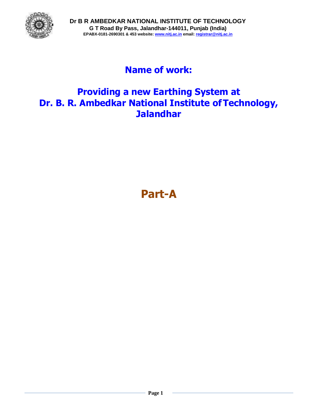

## **Name of work:**

## **Providing a new Earthing System at Dr. B. R. Ambedkar National Institute ofTechnology, Jalandhar**

# **Part-A**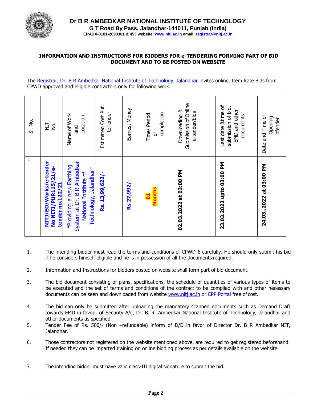

#### **INFORMATION AND INSTRUCTIONS FOR BIDDERS FOR e-TENDERING FORMING PART OF BID DOCUMENT AND TO BE POSTED ON WEBSITE**

The Registrar, Dr. B R Ambedkar National Institute of Technology, Jalandhar invites online, Item Rate Bids from CPWD approved and eligible contractors only for following work:

| 1                                                                                                          | SI. No.                                                                |
|------------------------------------------------------------------------------------------------------------|------------------------------------------------------------------------|
| NITJ/EO/Works/e-tender<br>No NITJ/PUR115/21/e-<br>tender no.122/21                                         | È<br>$\dot{\underline{\mathcal{S}}}$                                   |
| System at Dr. B R Ambedkar<br>"Providing a new Earthing<br>Technology, Jalandhar"<br>National Institute of | Name of Work<br>Location<br><b>Due</b>                                 |
| Rs. 13,99,622/-                                                                                            | Estimated Cost Put<br>toTender                                         |
| Rs 27,992/-                                                                                                | Earnest Money                                                          |
| Months<br>$\overline{\mathbf{c}}$                                                                          | completion<br>Time/ Period<br>৳                                        |
| 02.03.2022 at 03:00 PM                                                                                     | Submission of Online<br>Downloading &<br>e-tender/bids                 |
| 23.03.2022 upto 03:00 PM                                                                                   | Last date &time of<br>submission of bid.<br>EMD and other<br>documents |
| 24.032022 at 03:00 PM                                                                                      | Date and Time of<br>Opening<br>ofender                                 |

- 1. The intending bidder must read the terms and conditions of CPWD-6 carefully. He should only submit his bid if he considers himself eligible and he is in possession of all the documents required.
- 2. Information and Instructions for bidders posted on website shall form part of bid document.
- 3. The bid document consisting of plans, specifications, the schedule of quantities of various types of items to be executed and the set of terms and conditions of the contract to be complied with and other necessary documents can be seen and downloaded from website [www.nitj.ac.in](http://www.nitj.ac.in/) or CPP Portal free of cost.
- 4. The bid can only be submitted after uploading the mandatory scanned documents such as Demand Draft towards EMD in favour of Security A/c, Dr. B. R. Ambedkar National Institute of Technology, Jalandhar and other documents as specified.
- 5. Tender Fee of Rs. 500/- (Non –refundable) inform of D/D in favor of Director Dr. B R Ambedkar NIT, Jalandhar.
- 6. Those contractors not registered on the website mentioned above, are required to get registered beforehand. If needed they can be imparted training on online bidding process as per details available on the website.
- 7. The intending bidder must have valid class-III digital signature to submit the bid.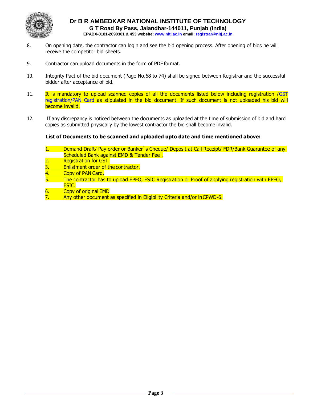

- 8. On opening date, the contractor can login and see the bid opening process. After opening of bids he will receive the competitor bid sheets.
- 9. Contractor can upload documents in the form of PDF format.
- 10. Integrity Pact of the bid document (Page No.68 to 74) shall be signed between Registrar and the successful bidder after acceptance of bid.
- 11. It is mandatory to upload scanned copies of all the documents listed below including registration /GST registration/PAN Card as stipulated in the bid document. If such document is not uploaded his bid will become invalid.
- 12. If any discrepancy is noticed between the documents as uploaded at the time of submission of bid and hard copies as submitted physically by the lowest contractor the bid shall become invalid.

#### **List of Documents to be scanned and uploaded upto date and time mentioned above:**

- 1. Demand Draft/ Pay order or Banker`s Cheque/ Deposit at Call Receipt/ FDR/Bank Guarantee of any Scheduled Bank against EMD & Tender Fee .
- 2. Registration for GST.
- 3. Enlistment order of the contractor.
- 4. Copy of PAN Card.
- 5. The contractor has to upload EPFO, ESIC Registration or Proof of applying registration with EPFO, ESIC.
- 6. Copy of original EMD
- 7. Any other document as specified in Eligibility Criteria and/or inCPWD-6.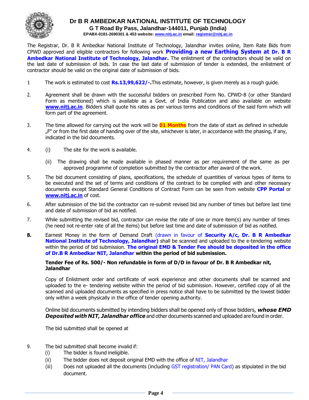

The Registrar, Dr. B R Ambedkar National Institute of Technology, Jalandhar invites online, Item Rate Bids from CPWD approved and eligible contractors for following work **Providing a new Earthing System at Dr. B R Ambedkar National Institute of Technology, Jalandhar.** The enlistment of the contractors should be valid on the last date of submission of bids. In case the last date of submission of tender is extended, the enlistment of contractor should be valid on the original date of submission of bids.

- 1 The work is estimated to cost **Rs.13,99,622/-.**This estimate, however, is given merely as a rough guide.
- 2. Agreement shall be drawn with the successful bidders on prescribed Form No. CPWD-8 (or other Standard Form as mentioned) which is available as a Govt. of India Publication and also available on website **[www.nitj.ac.in](http://www.nitj.ac.in/)**. Bidders shall quote his rates as per various terms and conditions of the said form which will form part of the agreement.
- 3. The time allowed for carrying out the work will be **01 Months** from the date of start as defined in schedule "F" or from the first date of handing over of the site, whichever is later, in accordance with the phasing, if any, indicated in the bid documents.
- 4. (i) The site for the work is available.
	- (ii) The drawing shall be made available in phased manner as per requirement of the same as per approved programme of completion submitted by the contractor after award of the work.
- 5. The bid document consisting of plans, specifications, the schedule of quantities of various types of items to be executed and the set of terms and conditions of the contract to be complied with and other necessary documents except Standard General Conditions of Contract Form can be seen from website **CPP Portal** or **[www.nitj.ac.in](http://www.nitj.ac.in/)** of cost.
- 6. After submission of the bid the contractor can re-submit revised bid any number of times but before last time and date of submission of bid as notified.
- 7. While submitting the revised bid, contractor can revise the rate of one or more item(s) any number of times (he need not re-enter rate of all the items) but before last time and date of submission of bid as notified.
- **8.** Earnest Money in the form of Demand Draft (drawn in favour of **Security A/c, Dr. B R Ambedkar National Institute of Technology, Jalandhar)** shall be scanned and uploaded to the e-tendering website within the period of bid submission. **The original EMD & Tender Fee should be deposited in the office of Dr.B R Ambedkar NIT, Jalandhar within the period of bid submission.**

#### **Tender Fee of Rs. 500/- Non refundable in form of D/D in favour of Dr. B R Ambedkar nit, Jalandhar**

Copy of Enlistment order and certificate of work experience and other documents shall be scanned and uploaded to the e- tendering website within the period of bid submission. However, certified copy of all the scanned and uploaded documents as specified in press notice shall have to be submitted by the lowest bidder only within a week physically in the office of tender opening authority.

Online bid documents submitted by intending bidders shall be opened only of those bidders, *whose EMD Deposited with NIT, Jalandhar office* and other documents scanned and uploaded are found in order.

The bid submitted shall be opened at

- 9. The bid submitted shall become invalid if:
	- (i) The bidder is found ineligible.
	- (ii) The bidder does not deposit original EMD with the office of NIT, Jalandhar
	- (iii) Does not uploaded all the documents (including GST registration/ PAN Card) as stipulated in the bid document.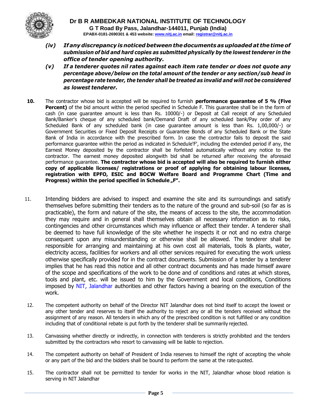

- *(iv) Ifanydiscrepancy is noticedbetween thedocumentsas uploadedat the timeof submission of bid and hard copies as submitted physically by the lowest tenderer in the office of tender opening authority.*
- *(v) If a tenderer quotes nil rates against each item rate tender or does not quote any percentage above/below on the total amount of the tender or any section/sub head in percentage rate tender, the tender shall be treated as invalid and will not be considered as lowest tenderer.*
- **10.** The contractor whose bid is accepted will be required to furnish **performance guarantee of 5 % (Five Percent)** of the bid amount within the period specified in Schedule F. This quarantee shall be in the form of cash (in case guarantee amount is less than Rs. 10000/-) or Deposit at Call receipt of any Scheduled Bank/Banker's cheque of any scheduled bank/Demand Draft of any scheduled bank/Pay order of any Scheduled Bank of any scheduled bank (in case guarantee amount is less than Rs. 1,00,000/-) or Government Securities or Fixed Deposit Receipts or Guarantee Bonds of any Scheduled Bank or the State Bank of India in accordance with the prescribed form. In case the contractor fails to deposit the said performance guarantee within the period as indicated in Schedule'F', including the extended period if any, the Earnest Money deposited by the contractor shall be forfeited automatically without any notice to the contractor. The earnest money deposited alongwith bid shall be returned after receiving the aforesaid performance guarantee. **The contractor whose bid is accepted will also be required to furnish either copy of applicable licenses/ registrations or proof of applying for obtaining labour licenses, registration with EPFO, ESIC and BOCW Welfare Board and Programme Chart (Time and Progress) within the period specified in Schedule "F".**
- 11. Intending bidders are advised to inspect and examine the site and its surroundings and satisfy themselves before submitting their tenders as to the nature of the ground and sub-soil (so far as is practicable), the form and nature of the site, the means of access to the site, the accommodation they may require and in general shall themselves obtain all necessary information as to risks, contingencies and other circumstances which may influence or affect their tender. A tenderer shall be deemed to have full knowledge of the site whether he inspects it or not and no extra charge consequent upon any misunderstanding or otherwise shall be allowed. The tenderer shall be responsible for arranging and maintaining at his own cost all materials, tools & plants, water, electricity access, facilities for workers and all other services required for executing the work unless otherwise specifically provided for in the contract documents. Submission of a tender by a tenderer implies that he has read this notice and all other contract documents and has made himself aware of the scope and specifications of the work to be done and of conditions and rates at which stores, tools and plant, etc. will be issued to him by the Government and local conditions, Conditions imposed by NIT, Jalandhar authorities and other factors having a bearing on the execution of the work.
- 12. The competent authority on behalf of the Director NIT Jalandhar does not bind itself to accept the lowest or any other tender and reserves to itself the authority to reject any or all the tenders received without the assignment of any reason. All tenders in which any of the prescribed condition is not fulfilled or any condition including that of conditional rebate is put forth by the tenderer shall be summarily rejected.
- 13. Canvassing whether directly or indirectly, in connection with tenderers is strictly prohibited and the tenders submitted by the contractors who resort to canvassing will be liable to rejection.
- 14. The competent authority on behalf of President of India reserves to himself the right of accepting the whole or any part of the bid and the bidders shall be bound to perform the same at the rate quoted.
- 15. The contractor shall not be permitted to tender for works in the NIT, Jalandhar whose blood relation is serving in NIT Jalandhar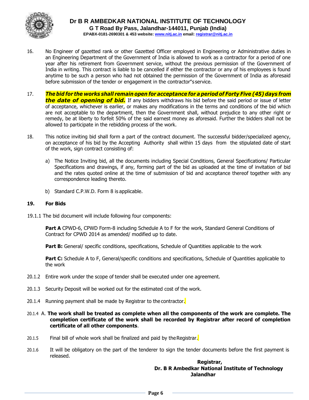

- 16. No Engineer of gazetted rank or other Gazetted Officer employed in Engineering or Administrative duties in an Engineering Department of the Government of India is allowed to work as a contractor for a period of one year after his retirement from Government service, without the previous permission of the Government of India in writing. This contract is liable to be cancelled if either the contractor or any of his employees is found anytime to be such a person who had not obtained the permission of the Government of India as aforesaid before submission of the tender or engagement in the contractor"s service.
- 17. The bid for the works shall remain open for acceptance for a period of Forty Five (45) days from *the date of opening of bid.* If any bidders withdraws his bid before the said period or issue of letter of acceptance, whichever is earlier, or makes any modifications in the terms and conditions of the bid which are not acceptable to the department, then the Government shall, without prejudice to any other right or remedy, be at liberty to forfeit 50% of the said earnest money as aforesaid. Further the bidders shall not be allowed to participate in the rebidding process of the work.
- 18. This notice inviting bid shall form a part of the contract document. The successful bidder/specialized agency, on acceptance of his bid by the Accepting Authority shall within 15 days from the stipulated date of start of the work, sign contract consisting of:
	- a) The Notice Inviting bid, all the documents including Special Conditions, General Specifications/ Particular Specifications and drawings, if any, forming part of the bid as uploaded at the time of invitation of bid and the rates quoted online at the time of submission of bid and acceptance thereof together with any correspondence leading thereto.
	- b) Standard C.P.W.D. Form 8 is applicable.

#### **19. For Bids**

19.1.1 The bid document will include following four components:

**Part A** CPWD-6, CPWD Form-8 including Schedule A to F for the work, Standard General Conditions of Contract for CPWD 2014 as amended/ modified up to date.

**Part B:** General/ specific conditions, specifications, Schedule of Quantities applicable to the work

**Part C:** Schedule A to F, General/specific conditions and specifications, Schedule of Quantities applicable to the work

- 20.1.2 Entire work under the scope of tender shall be executed under one agreement.
- 20.1.3 Security Deposit will be worked out for the estimated cost of the work.
- 20.1.4 Running payment shall be made by Registrar to the contractor.
- 20.1.4 A. **The work shall be treated as complete when all the components of the work are complete. The completion certificate of the work shall be recorded by Registrar after record of completion certificate of all other components**.
- 20.1.5 Final bill of whole work shall be finalized and paid by the Registrar.
- 20.1.6 It will be obligatory on the part of the tenderer to sign the tender documents before the first payment is released.

**Registrar, Dr. B R Ambedkar National Institute of Technology Jalandhar**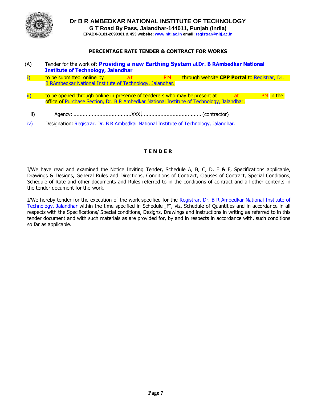

#### **PERCENTAGE RATE TENDER & CONTRACT FOR WORKS**

i) to be submitted online by at a through website **CPP Portal** to Registrar, Dr.  $\overline{a}$  ii) to be opened through online in presence of tenderers who may be present at  $\overline{a}$  at  $\overline{a}$  PM in the (A) Tender for the work of: **Providing a new Earthing System** at**Dr. B RAmbedkar National Institute of Technology, Jalandhar** B RAmbedkar National Institute of Technology, Jalandhar. office of Purchase Section, Dr. B R Ambedkar National Institute of Technology, Jalandhar. iii) Agency: ......................................XXX........................................ (contractor)

iv) Designation: Registrar, Dr. B R Ambedkar National Institute of Technology, Jalandhar.

#### **T E N D E R**

I/We have read and examined the Notice Inviting Tender, Schedule A, B, C, D, E & F, Specifications applicable, Drawings & Designs, General Rules and Directions, Conditions of Contract, Clauses of Contract, Special Conditions, Schedule of Rate and other documents and Rules referred to in the conditions of contract and all other contents in the tender document for the work.

I/We hereby tender for the execution of the work specified for the Registrar, Dr. B R Ambedkar National Institute of Technology, Jalandhar within the time specified in Schedule "F", viz. Schedule of Quantities and in accordance in all respects with the Specifications/ Special conditions, Designs, Drawings and instructions in writing as referred to in this tender document and with such materials as are provided for, by and in respects in accordance with, such conditions so far as applicable.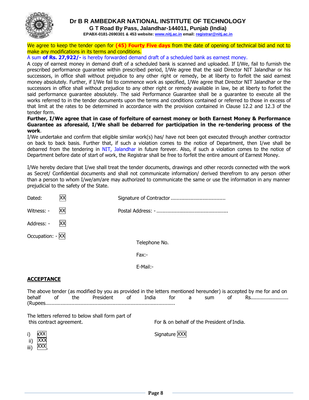

**EPABX-0181-2690301 & 453 website: www.nitj.ac.in email: registrar@nitj.ac.in**

We agree to keep the tender open for **(45) Fourty Five days** from the date of opening of technical bid and not to make any modifications in its terms and conditions.

A sum **of Rs. 27,922/-** is hereby forwarded demand draft of a scheduled bank as earnest money.

A copy of earnest money in demand draft of a scheduled bank is scanned and uploaded. If I/We, fail to furnish the prescribed performance guarantee within prescribed period, I/We agree that the said Director NIT Jalandhar or his successors, in office shall without prejudice to any other right or remedy, be at liberty to forfeit the said earnest money absolutely. Further, if I/We fail to commence work as specified, I/We agree that Director NIT Jalandhar or the successors in office shall without prejudice to any other right or remedy available in law, be at liberty to forfeit the said performance guarantee absolutely. The said Performance Guarantee shall be a guarantee to execute all the works referred to in the tender documents upon the terms and conditions contained or referred to those in excess of that limit at the rates to be determined in accordance with the provision contained in Clause 12.2 and 12.3 of the tender form.

#### **Further, I/We agree that in case of forfeiture of earnest money or both Earnest Money & Performance Guarantee as aforesaid, I/We shall be debarred for participation in the re-tendering process of the work**.

I/We undertake and confirm that eligible similar work(s) has/ have not been got executed through another contractor on back to back basis. Further that, if such a violation comes to the notice of Department, then I/we shall be debarred from the tendering in NIT, Jalandhar in future forever. Also, if such a violation comes to the notice of Department before date of start of work, the Registrar shall be free to forfeit the entire amount of Earnest Money.

I/We hereby declare that I/we shall treat the tender documents, drawings and other records connected with the work as Secret/ Confidential documents and shall not communicate information/ derived therefrom to any person other than a person to whom I/we/am/are may authorized to communicate the same or use the information in any manner prejudicial to the safety of the State.

| Dated:                       | XX |               |
|------------------------------|----|---------------|
| Witness: -                   | XX |               |
| Address: -                   | XX |               |
| Occupation: $-\overline{XX}$ |    | Telephone No. |
|                              |    | Fax:-         |
|                              |    | E-Mail:-      |
| <b>ACCEPTANCE</b>            |    |               |

#### The above tender (as modified by you as provided in the letters mentioned hereunder) is accepted by me for and on behalf of the President of India for a sum of Rs........................... (Rupees.....................................................................................

The letters referred to below shall form part of this contract agreement. This contract agreement. This contract agreement.

| ı |
|---|

Signature XXX XXX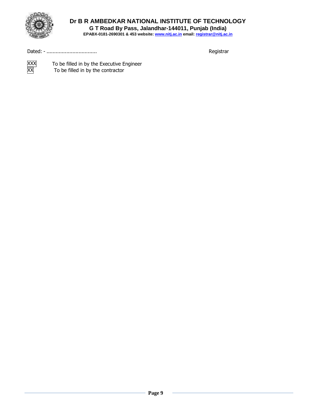

Dated: - ................................. Registrar

To be filled in by the Executive Engineer To be filled in by the contractor XXX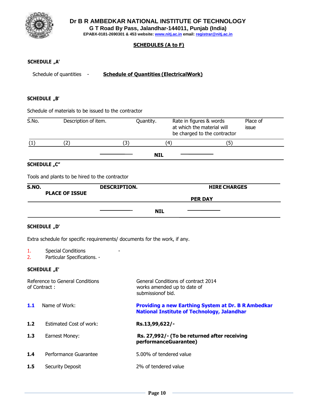

**G T Road By Pass, Jalandhar-144011, Punjab (India)**

**EPABX-0181-2690301 & 453 website: www.nitj.ac.in email: registrar@nitj.ac.in**

#### **SCHEDULES (A to F)**

#### **SCHEDULE "A"**

Schedule of quantities - **Schedule of Quantities (ElectricalWork)**

#### **SCHEDULE "B"**

Schedule of materials to be issued to the contractor

| S.No. | Description of item. | Quantity.  | Rate in figures & words<br>at which the material will<br>be charged to the contractor | Place of<br><b>issue</b> |
|-------|----------------------|------------|---------------------------------------------------------------------------------------|--------------------------|
|       |                      |            | 4                                                                                     |                          |
|       |                      | <b>NIL</b> |                                                                                       |                          |

#### **SCHEDULE** "C"

Tools and plants to be hired to the contractor

| <b>S.NO.</b> | <b>PLACE OF ISSUE</b> | <b>DESCRIPTION.</b> |            | <b>HIRE CHARGES</b> |  |
|--------------|-----------------------|---------------------|------------|---------------------|--|
|              |                       |                     |            | <b>PER DAY</b>      |  |
|              |                       |                     | <b>NIL</b> |                     |  |

#### **SCHEDULE "D"**

Extra schedule for specific requirements/ documents for the work, if any.

-

- 1. Special Conditions
- 2. Particular Specifications. -

#### **SCHEDULE "E"**

|     | Reference to General Conditions<br>of Contract: | General Conditions of contract 2014<br>works amended up to date of<br>submission of bid.                         |
|-----|-------------------------------------------------|------------------------------------------------------------------------------------------------------------------|
| 1.1 | Name of Work:                                   | <b>Providing a new Earthing System at Dr. B R Ambedkar</b><br><b>National Institute of Technology, Jalandhar</b> |
| 1.2 | Estimated Cost of work:                         | Rs.13,99,622/-                                                                                                   |
| 1.3 | Earnest Money:                                  | Rs. 27,992/- (To be returned after receiving<br>performanceGuarantee)                                            |
| 1.4 | Performance Guarantee                           | 5.00% of tendered value                                                                                          |
| 1.5 | Security Deposit                                | 2% of tendered value                                                                                             |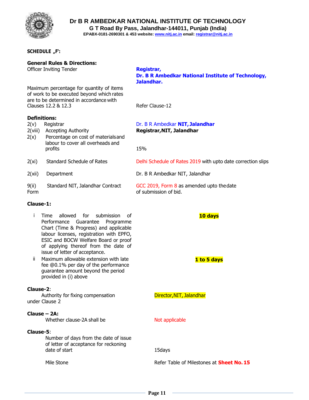

**G T Road By Pass, Jalandhar-144011, Punjab (India) EPABX-0181-2690301 & 453 website: www.nitj.ac.in email: registrar@nitj.ac.in**

#### **SCHEDULE "F":**

**General Rules & Directions:**

Officer Inviting Tender **Registrar,**

Maximum percentage for quantity of items of work to be executed beyond which rates are to be determined in accordance with Clauses 12.2 & 12.3 Refer Clause-12

#### **Definitions:**

- 
- 
- 2(x) Percentage on cost of materialsand labour to cover all overheads and profits 15%
- 
- 
- Form **Form bid.** Form **of submission of bid.**

#### **Clause-1:**

- i Time allowed for submission of Performance Guarantee Programme Chart (Time & Progress) and applicable labour licenses, registration with EPFO, ESIC and BOCW Welfare Board or proof of applying thereof from the date of issue of letter of acceptance.
- ii Maximum allowable extension with late fee @0.1% per day of the performance guarantee amount beyond the period provided in (i) above

#### **Clause-2**:

Authority for fixing compensation Director, NIT, Jalandhar under Clause 2

#### **Clause – 2A:**

Whether clause-2A shall be Not applicable

#### **Clause-5**:

Number of days from the date of issue of letter of acceptance for reckoning date of start 15days

**Dr. B R Ambedkar National Institute of Technology, Jalandhar.**

#### 2(v) Registrar Dr. B R Ambedkar **NIT, Jalandhar** 2(viii) Accepting Authority **Registrar,NIT, Jalandhar**

2(xi) Standard Schedule of Rates Delhi Schedule of Rates 2019 with upto date correction slips

2(xii) Department Dr. B R Ambedkar NIT, Jalandhar

9(ii) Standard NIT, Jalandhar Contract GCC 2019, Form 8 as amended upto thedate

#### **10 days**

**1 to 5 days**

Mile Stone Refer Table of Milestones at **Sheet No.15**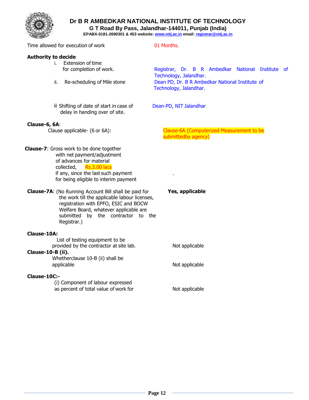

**G T Road By Pass, Jalandhar-144011, Punjab (India)**

**EPABX-0181-2690301 & 453 website: www.nitj.ac.in email: registrar@nitj.ac.in**

Time allowed for execution of work 01 Months.

| <b>Authority to decide</b><br>Extension of time<br>i.<br>for completion of work.<br>ii.<br>Re-scheduling of Mile stone                                                                                                                                                                                                                                                                                                                                                                   | Registrar, Dr. B R Ambedkar National Institute of<br>Technology, Jalandhar.<br>Dean PD, Dr. B R Ambedkar National Institute of<br>Technology, Jalandhar. |
|------------------------------------------------------------------------------------------------------------------------------------------------------------------------------------------------------------------------------------------------------------------------------------------------------------------------------------------------------------------------------------------------------------------------------------------------------------------------------------------|----------------------------------------------------------------------------------------------------------------------------------------------------------|
| iii Shifting of date of start in case of<br>delay in handing over of site.                                                                                                                                                                                                                                                                                                                                                                                                               | Dean-PD, NIT Jalandhar                                                                                                                                   |
| Clause-6, 6A:<br>Clause applicable- (6 or 6A):                                                                                                                                                                                                                                                                                                                                                                                                                                           | Clause-6A (Computerized Measurement to be<br>submittedby agency)                                                                                         |
| <b>Clause-7:</b> Gross work to be done together<br>with net payment/adjustment<br>of advances for material<br><b>Rs.3.00 lacs</b><br>collected,<br>if any, since the last such payment<br>for being eligible to interim payment<br><b>Clause-7A:</b> (No Running Account Bill shall be paid for<br>the work till the applicable labour licenses,<br>registration with EPFO, ESIC and BOCW<br>Welfare Board, whatever applicable are<br>submitted by the contractor to the<br>Registrar.) | Yes, applicable                                                                                                                                          |
| <b>Clause-10A:</b><br>List of testing equipment to be<br>provided by the contractor at site lab.<br>Clause-10-B (ii).<br>Whetherclause 10-B (ii) shall be<br>applicable                                                                                                                                                                                                                                                                                                                  | Not applicable<br>Not applicable                                                                                                                         |
| Clause-10C:-<br>(i) Component of labour expressed<br>as percent of total value of work for                                                                                                                                                                                                                                                                                                                                                                                               | Not applicable                                                                                                                                           |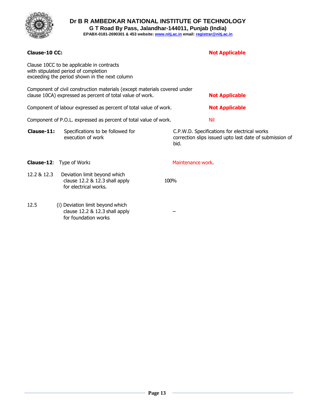

**G T Road By Pass, Jalandhar-144011, Punjab (India) EPABX-0181-2690301 & 453 website: www.nitj.ac.in email: registrar@nitj.ac.in**

|                                                                                                                                                                 | <b>Clause-10 CC:</b><br><b>Not Applicable</b>                                           |                   |                                                                                                         |  |  |  |
|-----------------------------------------------------------------------------------------------------------------------------------------------------------------|-----------------------------------------------------------------------------------------|-------------------|---------------------------------------------------------------------------------------------------------|--|--|--|
| Clause 10CC to be applicable in contracts<br>with stipulated period of completion<br>exceeding the period shown in the next column                              |                                                                                         |                   |                                                                                                         |  |  |  |
| Component of civil construction materials (except materials covered under<br>clause 10CA) expressed as percent of total value of work.<br><b>Not Applicable</b> |                                                                                         |                   |                                                                                                         |  |  |  |
| Component of labour expressed as percent of total value of work.<br><b>Not Applicable</b>                                                                       |                                                                                         |                   |                                                                                                         |  |  |  |
|                                                                                                                                                                 | Component of P.O.L. expressed as percent of total value of work.                        |                   | Nil                                                                                                     |  |  |  |
| Clause-11:                                                                                                                                                      | Specifications to be followed for<br>execution of work                                  | bid.              | C.P.W.D. Specifications for electrical works<br>correction slips issued upto last date of submission of |  |  |  |
|                                                                                                                                                                 | <b>Clause-12:</b> Type of Work:                                                         | Maintenance work. |                                                                                                         |  |  |  |
| 12.2 & 12.3                                                                                                                                                     | Deviation limit beyond which<br>clause 12.2 & 12.3 shall apply<br>for electrical works. | 100%              |                                                                                                         |  |  |  |
| 12.5                                                                                                                                                            | (i) Deviation limit beyond which<br>clause 12.2 & 12.3 shall apply                      |                   |                                                                                                         |  |  |  |

for foundation works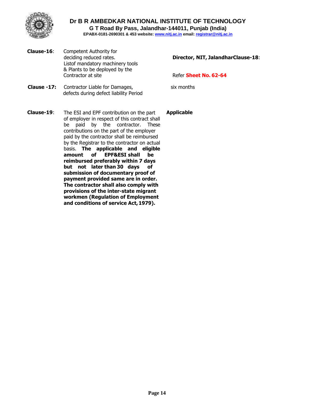

**Clause-16**: Competent Authority for Listof mandatory machinery tools & Plants to be deployed by the Contractor at site Refer Sheet No. 62-64

deciding reduced rates. **Director, NIT, JalandharClause-18**:

**Clause -17:** Contractor Liable for Damages, six months

**Applicable**

- defects during defect liability Period
- **Clause-19**: The ESI and EPF contribution on the part of employer in respect of this contract shall be paid by the contractor. These contributions on the part of the employer paid by the contractor shall be reimbursed by the Registrar to the contractor on actual basis. **The applicable and eligible amount of EPF&ESI shall be reimbursed preferably within 7 days but not later than 30 days of submission of documentary proof of payment provided same are in order. The contractor shall also comply with provisions of the inter-state migrant workmen (Regulation of Employment and conditions of service Act,1979).**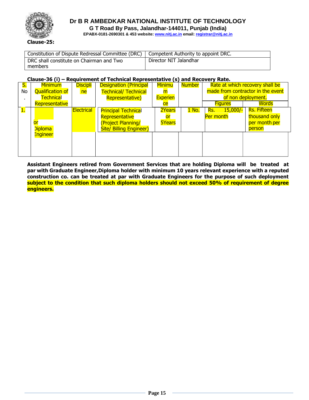

**EPABX-0181-2690301 & 453 website: www.nitj.ac.in email: registrar@nitj.ac.in**

#### **Clause-25:**

| Constitution of Dispute Redressal Committee (DRC) Competent Authority to appoint DRC. |                        |
|---------------------------------------------------------------------------------------|------------------------|
| DRC shall constitute on Chairman and Two                                              | Director NIT Jalandhar |
| members                                                                               |                        |

#### **Clause-36 (i) – Requirement of Technical Representative (s) and Recovery Rate.**

| $\mathsf{S}.$<br>No | <b>Minimum</b><br><b>Qualification of</b><br>Technical<br>Representative | <b>Discipli</b><br>ne | <b>Designation (Principal</b><br><b>Technical/ Technical</b><br>Representative)                      | <b>Minimu</b><br><b>Experien</b>    | <b>Number</b> | Rate at which recovery shall be<br>made from contractor in the event<br>of non deployment.<br>Words |                                                         |
|---------------------|--------------------------------------------------------------------------|-----------------------|------------------------------------------------------------------------------------------------------|-------------------------------------|---------------|-----------------------------------------------------------------------------------------------------|---------------------------------------------------------|
| $\boxed{1}$         | <b>or</b><br>Diploma                                                     | Electrical            | <b>Principal Technical</b><br>Representative<br>(Project Planning/<br><b>Site/ Billing Engineer)</b> | ce<br>2Years<br>or<br><b>5Years</b> | 1 No.         | <b>Figures</b><br>$15,000/-$<br>Rs.<br>Per month                                                    | Rs. Fifteen<br>thousand only<br>per month per<br>person |
|                     | <b>Engineer</b>                                                          |                       |                                                                                                      |                                     |               |                                                                                                     |                                                         |

**Assistant Engineers retired from Government Services that are holding Diploma will be treated at par with Graduate Engineer,Diploma holder with minimum 10 years relevant experience with a reputed construction co. can be treated at par with Graduate Engineers for the purpose of such deployment subject to the condition that such diploma holders should not exceed 50% of requirement of degree engineers.**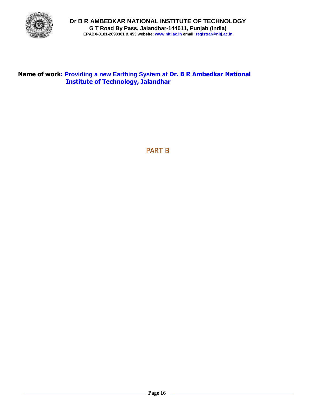

### **Name of work: Providing a new Earthing System at Dr. B R Ambedkar National Institute of Technology, Jalandhar**

PART B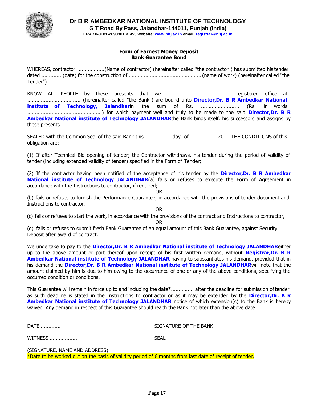

**EPABX-0181-2690301 & 453 website: www.nitj.ac.in email: registrar@nitj.ac.in**

#### **Form of Earnest Money Deposit Bank Guarantee Bond**

WHEREAS, contractor...................(Name of contractor) (hereinafter called "the contractor") has submitted his tender dated ............. (date) for the construction of ................................................(name of work) (hereinafter called "the Tender")

KNOW ALL PEOPLE by these presents that we ......................................... registered office at ................................... (hereinafter called "the Bank") are bound unto **Director,Dr. B R Ambedkar National institute of Technology, Jalandhar**in the sum of Rs. ......................... (Rs. in words .................................................) for which payment well and truly to be made to the said **Director,Dr. B R Ambedkar National institute of Technology JALANDHAR**the Bank binds itself, his successors and assigns by these presents.

SEALED with the Common Seal of the said Bank this .................. day of .................. 20 THE CONDITIONS of this obligation are:

(1) If after Technical Bid opening of tender; the Contractor withdraws, his tender during the period of validity of tender (including extended validity of tender) specified in the Form of Tender;

(2) If the contractor having been notified of the acceptance of his tender by the **Director,Dr. B R Ambedkar National institute of Technology JALANDHAR(a)** fails or refuses to execute the Form of Agreement in accordance with the Instructions to contractor, if required;

OR

(b) fails or refuses to furnish the Performance Guarantee, in accordance with the provisions of tender document and Instructions to contractor,

OR

(c) fails or refuses to start the work, in accordance with the provisions of the contract and Instructions to contractor, OR

(d) fails or refuses to submit fresh Bank Guarantee of an equal amount of this Bank Guarantee, against Security Deposit after award of contract.

We undertake to pay to the **Director,Dr. B R Ambedkar National institute of Technology JALANDHAR**either up to the above amount or part thereof upon receipt of his first written demand, without **Registrar,Dr. B R Ambedkar National institute of Technology JALANDHAR** having to substantiates his demand, provided that in his demand the **Director,Dr. B R Ambedkar National institute of Technology JALANDHAR**will note that the amount claimed by him is due to him owing to the occurrence of one or any of the above conditions, specifying the occurred condition or conditions.

This Guarantee will remain in force up to and including the date\*............... after the deadline for submission oftender as such deadline is stated in the Instructions to contractor or as it may be extended by the **Director,Dr. B R Ambedkar National institute of Technology JALANDHAR** notice of which extension(s) to the Bank is hereby waived. Any demand in respect of this Guarantee should reach the Bank not later than the above date.

DATE ............. SIGNATURE OF THE BANK

WITNESS .................. SEAL

(SIGNATURE, NAME AND ADDRESS) \*Date to be worked out on the basis of validity period of 6 months from last date of receipt of tender.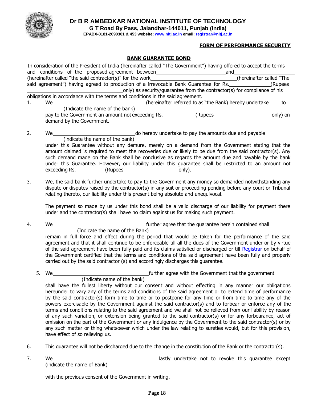

**G T Road By Pass, Jalandhar-144011, Punjab (India)**

**EPABX-0181-2690301 & 453 website: www.nitj.ac.in email: registrar@nitj.ac.in**

#### **FORM OF PERFORMANCE SECURITY**

#### **BANK GUARANTEE BOND**

|    | In consideration of the President of India (hereinafter called "The Government") having offered to accept the terms<br>and conditions of the proposed agreement between<br>and                                                                                                                                       |                                                                          |         |                          |           |  |
|----|----------------------------------------------------------------------------------------------------------------------------------------------------------------------------------------------------------------------------------------------------------------------------------------------------------------------|--------------------------------------------------------------------------|---------|--------------------------|-----------|--|
|    |                                                                                                                                                                                                                                                                                                                      |                                                                          |         | (hereinafter called "The |           |  |
|    | said agreement") having agreed to production of a irrevocable Bank Guarantee for Rs.                                                                                                                                                                                                                                 |                                                                          |         |                          | (Rupees   |  |
|    |                                                                                                                                                                                                                                                                                                                      | only) as security/guarantee from the contractor(s) for compliance of his |         |                          |           |  |
|    | obligations in accordance with the terms and conditions in the said agreement.                                                                                                                                                                                                                                       |                                                                          |         |                          |           |  |
| 1. | (hereinafter referred to as "the Bank) hereby undertake<br>We                                                                                                                                                                                                                                                        |                                                                          |         |                          | to        |  |
|    | (Indicate the name of the bank)                                                                                                                                                                                                                                                                                      |                                                                          |         |                          |           |  |
|    | pay to the Government an amount not exceeding Rs.                                                                                                                                                                                                                                                                    |                                                                          | (Rupees |                          | _only) on |  |
|    | demand by the Government.                                                                                                                                                                                                                                                                                            |                                                                          |         |                          |           |  |
| 2. | We                                                                                                                                                                                                                                                                                                                   | do hereby undertake to pay the amounts due and payable                   |         |                          |           |  |
|    | (indicate the name of the bank)                                                                                                                                                                                                                                                                                      |                                                                          |         |                          |           |  |
|    | under this Guarantee without any demure, merely on a demand from the Government stating that the<br>amount claimed is required to meet the recoveries due or likely to be due from the said contractor(s). Any<br>such demand made on the Bank shall be conclusive as regards the amount due and payable by the bank |                                                                          |         |                          |           |  |

under this Guarantee. However, our liability under this guarantee shall be restricted to an amount not exceeding Rs. (Rupees only). 3. We, the said bank further undertake to pay to the Government any money so demanded notwithstanding any

dispute or disputes raised by the contractor(s) in any suit or proceeding pending before any court or Tribunal relating thereto, our liability under this present being absolute and unequivocal.

The payment so made by us under this bond shall be a valid discharge of our liability for payment there under and the contractor(s) shall have no claim against us for making such payment.

4. We We Further agree that the guarantee herein contained shall (Indicate the name of the Bank)

remain in full force and effect during the period that would be taken for the performance of the said agreement and that it shall continue to be enforceable till all the dues of the Government under or by virtue of the said agreement have been fully paid and its claims satisfied or discharged or till Registrar on behalf of the Government certified that the terms and conditions of the said agreement have been fully and properly carried out by the said contractor (s) and accordingly discharges this guarantee.

5. We further agree with the Government that the government (Indicate name of the bank)

shall have the fullest liberty without our consent and without effecting in any manner our obligations hereunder to vary any of the terms and conditions of the said agreement or to extend time of performance by the said contractor(s) form time to time or to postpone for any time or from time to time any of the powers exercisable by the Government against the said contractor(s) and to forbear or enforce any of the terms and conditions relating to the said agreement and we shall not be relieved from our liability by reason of any such variation, or extension being granted to the said contractor(s) or for any forbearance, act of omission on the part of the Government or any indulgence by the Government to the said contractor(s) or by any such matter or thing whatsoever which under the law relating to sureties would, but for this provision, have effect of so relieving us.

- 6. This guarantee will not be discharged due to the change in the constitution of the Bank or the contractor(s).
- 7. We We lastly undertake not to revoke this guarantee except (indicate the name of Bank)

with the previous consent of the Government in writing.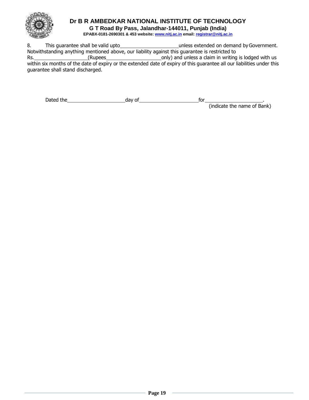

**EPABX-0181-2690301 & 453 website: www.nitj.ac.in email: registrar@nitj.ac.in**

8. This guarantee shall be valid upto<br>
<u>Late universually unless extended on demand by Government</u>. Notwithstanding anything mentioned above, our liability against this guarantee is restricted to Rs. More the CRUPEN CRUPER CRUPER CRUPER CRUP (Rupees only) and unless a claim in writing is lodged with us within six months of the date of expiry or the extended date of expiry of this guarantee all our liabilities under this guarantee shall stand discharged.

Dated the the day of the day of the form

(indicate the name of Bank)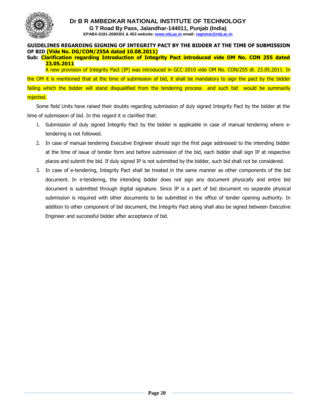

**EPABX-0181-2690301 & 453 website: www.nitj.ac.in email: registrar@nitj.ac.in**

#### **GUIDELINES REGARDING SIGNING OF INTEGRITY PACT BY THE BIDDER AT THE TIME OF SUBMISSION OF BID (Vide No. DG/CON/255A dated 10.08.2011)**

#### **Sub: Clarification regarding Introduction of Integrity Pact introduced vide OM No. CON 255 dated 23.05.2011** A new provision of Integrity Pact (IP) was introduced in GCC-2010 vide OM No. CON/255 dt. 23.05.2011. In

the OM it is mentioned that at the time of submission of bid, it shall be mandatory to sign the pact by the bidder failing which the bidder will stand disqualified from the tendering process and such bid would be summarily rejected.

Some field Units have raised their doubts regarding submission of duly signed Integrity Pact by the bidder at the time of submission of bid. In this regard it is clarified that:

- 1. Submission of duly signed Integrity Pact by the bidder is applicable in case of manual tendering where etendering is not followed.
- 2. In case of manual tendering Executive Engineer should sign the first page addressed to the intending bidder at the time of issue of tender form and before submission of the bid, each bidder shall sign IP at respective places and submit the bid. If duly signed IP is not submitted by the bidder, such bid shall not be considered.
- 3. In case of e-tendering, Integrity Pact shall be treated in the same manner as other components of the bid document. In e-tendering, the intending bidder does not sign any document physically and entire bid document is submitted through digital signature. Since IP is a part of bid document no separate physical submission is required with other documents to be submitted in the office of tender opening authority. In addition to other component of bid document, the Integrity Pact along shall also be signed between Executive Engineer and successful bidder after acceptance of bid.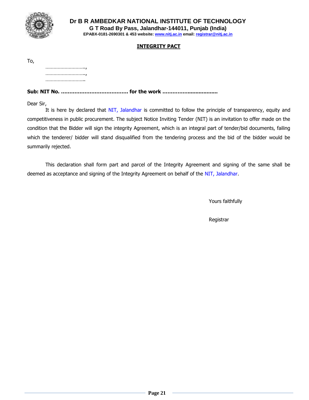

**EPABX-0181-2690301 & 453 website: www.nitj.ac.in email: registrar@nitj.ac.in**

#### **INTEGRITY PACT**

To,

…………………………, …………………………… …………………………

**Sub: NIT No. …………………………………. for the work ……………...................**

Dear Sir,

It is here by declared that NIT, Jalandhar is committed to follow the principle of transparency, equity and competitiveness in public procurement. The subject Notice Inviting Tender (NIT) is an invitation to offer made on the condition that the Bidder will sign the integrity Agreement, which is an integral part of tender/bid documents, failing which the tenderer/ bidder will stand disqualified from the tendering process and the bid of the bidder would be summarily rejected.

This declaration shall form part and parcel of the Integrity Agreement and signing of the same shall be deemed as acceptance and signing of the Integrity Agreement on behalf of the NIT, Jalandhar.

Yours faithfully

Registrar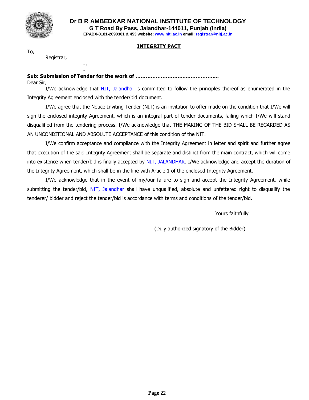

**EPABX-0181-2690301 & 453 website: www.nitj.ac.in email: registrar@nitj.ac.in**

#### **INTEGRITY PACT**

To,

Registrar,

………………………, ………………………..

#### **Sub: Submission of Tender for the work of ………………………....……………....** Dear Sir,

I/We acknowledge that NIT, Jalandhar is committed to follow the principles thereof as enumerated in the Integrity Agreement enclosed with the tender/bid document.

I/We agree that the Notice Inviting Tender (NIT) is an invitation to offer made on the condition that I/We will sign the enclosed integrity Agreement, which is an integral part of tender documents, failing which I/We will stand disqualified from the tendering process. I/We acknowledge that THE MAKING OF THE BID SHALL BE REGARDED AS AN UNCONDITIONAL AND ABSOLUTE ACCEPTANCE of this condition of the NIT.

I/We confirm acceptance and compliance with the Integrity Agreement in letter and spirit and further agree that execution of the said Integrity Agreement shall be separate and distinct from the main contract, which will come into existence when tender/bid is finally accepted by NIT, JALANDHAR. I/We acknowledge and accept the duration of the Integrity Agreement, which shall be in the line with Article 1 of the enclosed Integrity Agreement.

I/We acknowledge that in the event of my/our failure to sign and accept the Integrity Agreement, while submitting the tender/bid, NIT, Jalandhar shall have unqualified, absolute and unfettered right to disqualify the tenderer/ bidder and reject the tender/bid is accordance with terms and conditions of the tender/bid.

Yours faithfully

(Duly authorized signatory of the Bidder)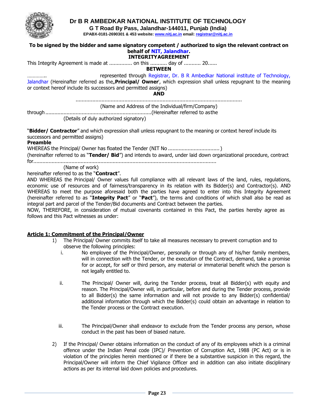

**G T Road By Pass, Jalandhar-144011, Punjab (India)**

**EPABX-0181-2690301 & 453 website: www.nitj.ac.in email: registrar@nitj.ac.in**

#### To be signed by the bidder and same signatory competent / authorized to sign the relevant contract on **behalf of NIT, Jalandhar. INTEGRITYAGREEMENT** This Integrity Agreement is made at ........................ an this ............ day of ........... 20...... **BETWEEN** mummus represented through Registrar, Dr. B R Ambedkar National institute of Technology, Jalandhar (Hereinafter referred as the<sub>"</sub>**Principal/ Owner**", which expression shall unless repugnant to the meaning or context hereof include its successors and permitted assigns) **AND** ............................................................................................................. (Name and Address of the Individual/firm/Company) through ......................................................................(Hereinafter referred to asthe (Details of duly authorized signatory) "**Bidder/ Contractor**" and which expression shall unless repugnant to the meaning or context hereof include its successors and permitted assigns) **Preamble** WHEREAS the Principal/ Owner has floated the Tender (NIT No ..................................) (hereinafter referred to as "**Tender/ Bid**") and intends to award, under laid down organizational procedure, contract for........................................................................................................................ (Name of work) hereinafter referred to as the "**Contract**". AND WHEREAS the Principal/ Owner values full compliance with all relevant laws of the land, rules, regulations, economic use of resources and of fairness/transparency in its relation with its Bidder(s) and Contractor(s). AND WHEREAS to meet the purpose aforesaid both the parties have agreed to enter into this Integrity Agreement (hereinafter referred to as "**Integrity Pact**" or "**Pact**"), the terms and conditions of which shall also be read as

integral part and parcel of the Tender/Bid documents and Contract between the parties. NOW, THEREFORE, in consideration of mutual covenants contained in this Pact, the parties hereby agree as follows and this Pact witnesses as under:

#### **Article 1: Commitment of the Principal/Owner**

- 1) The Principal/ Owner commits itself to take all measures necessary to prevent corruption and to observe the following principles:
	- i. No employee of the Principal/Owner, personally or through any of his/her family members, will in connection with the Tender, or the execution of the Contract, demand, take a promise for or accept, for self or third person, any material or immaterial benefit which the person is not legally entitled to.
	- ii. The Principal/ Owner will, during the Tender process, treat all Bidder(s) with equity and reason. The Principal/Owner will, in particular, before and during the Tender process, provide to all Bidder(s) the same information and will not provide to any Bidder(s) confidential/ additional information through which the Bidder(s) could obtain an advantage in relation to the Tender process or the Contract execution.
	- iii. The Principal/Owner shall endeavor to exclude from the Tender process any person, whose conduct in the past has been of biased nature.
- 2) If the Principal/ Owner obtains information on the conduct of any of its employees which is a criminal offence under the Indian Penal code (IPC)/ Prevention of Corruption Act, 1988 (PC Act) or is in violation of the principles herein mentioned or if there be a substantive suspicion in this regard, the Principal/Owner will inform the Chief Vigilance Officer and in addition can also initiate disciplinary actions as per its internal laid down policies and procedures.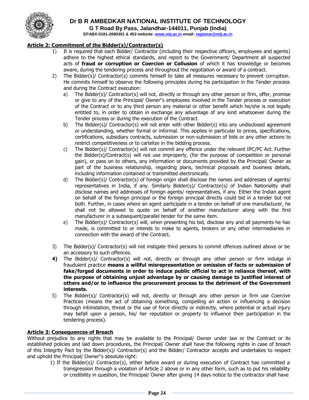

**G T Road By Pass, Jalandhar-144011, Punjab (India)**

**EPABX-0181-2690301 & 453 website: www.nitj.ac.in email: registrar@nitj.ac.in**

#### **Article 2: Commitment of the Bidder(s)/Contractor(s)**

- 1) It is required that each Bidder/ Contractor (including their respective officers, employees and agents) adhere to the highest ethical standards, and report to the Government/ Department all suspected acts of **fraud or corruption or Coercion or Collusion** of which it has knowledge or becomes aware, during the tendering process and throughout the negotiation or award of a contract.
- 2) The Bidder(s)/ Contractor(s) commits himself to take all measures necessary to prevent corruption. He commits himself to observe the following principles during his participation in the Tender process and during the Contract execution:
	- a) The Bidder(s)/ Contractor(s) will not, directly or through any other person or firm, offer, promise or give to any of the Principal/ Owner"s employees involved in the Tender process or execution of the Contract or to any third person any material or other benefit which he/she is not legally entitled to, in order to obtain in exchange any advantage of any kind whatsoever during the Tender process or during the execution of the Contract.
	- b) The Bidder(s)/ Contractor(s) will not enter with other Bidder(s) into any undisclosed agreement or understanding, whether formal or informal. This applies in particular to prices, specifications, certifications, subsidiary contracts, submission or non-submission of bids or any other actions to restrict competitiveness or to cartelize in the bidding process.
	- c) The Bidder(s)/ Contractor(s) will not commit any offence under the relevant IPC/PC Act. Further the Bidder(s)/Contract(s) will not use improperly, (for the purpose of competition or personal gain), or pass on to others, any information or documents provided by the Principal/ Owner as part of the business relationship, regarding plans, technical proposals and business details, including information contained or transmitted electronically.
	- d) The Bidder(s)/ Contractor(s) of foreign origin shall disclose the names and addresses of agents/ representatives in India, if any. Similarly Bidder(s)/ Contractor(s) of Indian Nationality shall disclose names and addresses of foreign agents/ representatives, if any. Either the Indian agent on behalf of the foreign principal or the foreign principal directly could bid in a tender but not both. Further, in cases where an agent participate in a tender on behalf of one manufacturer, he shall not be allowed to quote on behalf of another manufacturer along with the first manufacturer in a subsequent/parallel tender for the same item.
	- e) The Bidder(s)/ Contractor(s) will, when presenting his bid, disclose any and all payments he has made, is committed to or intends to make to agents, brokers or any other intermediaries in connection with the award of the Contract.
- 3) The Bidder(s)/ Contractor(s) will not instigate third persons to commit offences outlined above or be an accessory to such offences.
- **4)** The Bidder(s)/ Contractor(s) will not, directly or through any other person or firm indulge in fraudulent practice **means a willful misrepresentation or omission of facts or submission of fake/forged documents in order to induce public official to act in reliance thereof, with the purpose of obtaining unjust advantage by or causing damage to justified interest of others and/or to influence the procurement process to the detriment of the Government interests.**
- 5) The Bidder(s)/ Contractor(s) will not, directly or through any other person or firm use Coercive Practices (means the act of obtaining something, compelling an action or influencing a decision through intimidation, threat or the use of force directly or indirectly, where potential or actual injury may befall upon a person, his/ her reputation or property to influence their participation in the tendering process).

#### **Article 3: Consequences of Breach**

Without prejudice to any rights that may be available to the Principal/ Owner under law or the Contract or its established policies and laid down procedures, the Principal/ Owner shall have the following rights in case of breach of this Integrity Pact by the Bidder(s)/ Contractor(s) and the Bidder/ Contractor accepts and undertakes to respect and uphold the Principal/ Owner"s absolute right:

1) If the Bidder(s)/ Contractor(s), either before award or during execution of Contract has committed a transgression through a violation of Article 2 above or in any other form, such as to put his reliability or credibility in question, the Principal/ Owner after giving 14 days notice to the contractor shall have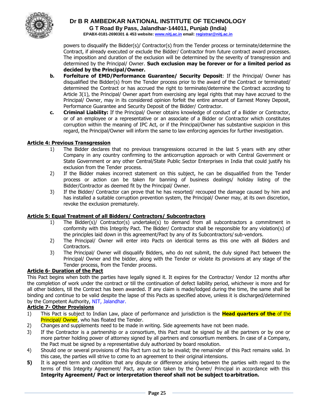

**G T Road By Pass, Jalandhar-144011, Punjab (India)**

**EPABX-0181-2690301 & 453 website: www.nitj.ac.in email: registrar@nitj.ac.in**

powers to disqualify the Bidder(s)/ Contractor(s) from the Tender process or terminate/determine the Contract, if already executed or exclude the Bidder/ Contractor from future contract award processes. The imposition and duration of the exclusion will be determined by the severity of transgression and determined by the Principal/ Owner. **Such exclusion may be forever or for a limited period as decided by the Principal/Owner.**

- **b. Forfeiture of EMD/Performance Guarantee/ Security Deposit**: If the Principal/ Owner has disqualified the Bidder(s) from the Tender process prior to the award of the Contract or terminated/ determined the Contract or has accrued the right to terminate/determine the Contract according to Article 3(1), the Principal/ Owner apart from exercising any legal rights that may have accrued to the Principal/ Owner, may in its considered opinion forfeit the entire amount of Earnest Money Deposit, Performance Guarantee and Security Deposit of the Bidder/ Contractor.
- **c. Criminal Liability:** If the Principal/ Owner obtains knowledge of conduct of a Bidder or Contractor, or of an employee or a representative or an associate of a Bidder or Contractor which constitutes corruption within the meaning of IPC Act, or if the Principal/Owner has substantive suspicion in this regard, the Principal/Owner will inform the same to law enforcing agencies for further investigation.

#### **Article 4: Previous Transgression**

- 1) The Bidder declares that no previous transgressions occurred in the last 5 years with any other Company in any country confirming to the anticorruption approach or with Central Government or State Government or any other Central/State Public Sector Enterprises in India that could justify his exclusion from the Tender process.
- 2) If the Bidder makes incorrect statement on this subject, he can be disqualified from the Tender process or action can be taken for banning of business dealings/ holiday listing of the Bidder/Contractor as deemed fit by the Principal/ Owner.
- 3) If the Bidder/ Contractor can prove that he has resorted/ recouped the damage caused by him and has installed a suitable corruption prevention system, the Principal/ Owner may, at its own discretion, revoke the exclusion prematurely.

#### **Article 5: Equal Treatment of all Bidders/ Contractors/ Subcontractors**

- 1) The Bidder(s)/ Contractor(s) undertake(s) to demand from all subcontractors a commitment in conformity with this Integrity Pact. The Bidder/ Contractor shall be responsible for any violation(s) of the principles laid down in this agreement/Pact by any of its Subcontractors/ sub-vendors.
- 2) The Principal/ Owner will enter into Pacts on identical terms as this one with all Bidders and Contractors.
- 3) The Principal/ Owner will disqualify Bidders, who do not submit, the duly signed Pact between the Principal/ Owner and the bidder, along with the Tender or violate its provisions at any stage of the Tender process, from the Tender process.

#### **Article 6- Duration of the Pact**

This Pact begins when both the parties have legally signed it. It expires for the Contractor/ Vendor 12 months after the completion of work under the contract or till the continuation of defect liability period, whichever is more and for all other bidders, till the Contract has been awarded. If any claim is made/lodged during the time, the same shall be binding and continue to be valid despite the lapse of this Pacts as specified above, unless it is discharged/determined by the Competent Authority, NIT, Jalandhar.

#### **Article 7- Other Provisions**

- 1) This Pact is subject to Indian Law, place of performance and jurisdiction is the **Head quarters of the** of the **Principal/ Owner,** who has floated the Tender.
- 2) Changes and supplements need to be made in writing. Side agreements have not been made.
- 3) If the Contractor is a partnership or a consortium, this Pact must be signed by all the partners or by one or more partner holding power of attorney signed by all partners and consortium members. In case of a Company, the Pact must be signed by a representative duly authorized by board resolution.
- 4) Should one or several provisions of this Pact turn out to be invalid; the remainder of this Pact remains valid. In this case, the parties will strive to come to an agreement to their original intensions.
- **5)** It is agreed term and condition that any dispute or difference arising between the parties with regard to the terms of this Integrity Agreement/ Pact, any action taken by the Owner/ Principal in accordance with this **Integrity Agreement/ Pact or interpretation thereof shall not be subject toarbitration.**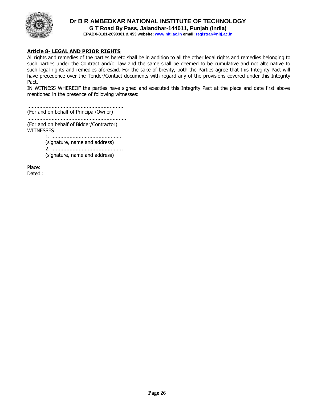

**G T Road By Pass, Jalandhar-144011, Punjab (India) EPABX-0181-2690301 & 453 website: www.nitj.ac.in email: registrar@nitj.ac.in**

#### **Article 8- LEGAL AND PRIOR RIGHTS**

All rights and remedies of the parties hereto shall be in addition to all the other legal rights and remedies belonging to such parties under the Contract and/or law and the same shall be deemed to be cumulative and not alternative to such legal rights and remedies aforesaid. For the sake of brevity, both the Parties agree that this Integrity Pact will have precedence over the Tender/Contact documents with regard any of the provisions covered under this Integrity Pact.

IN WITNESS WHEREOF the parties have signed and executed this Integrity Pact at the place and date first above mentioned in the presence of following witnesses:

............................................................... (For and on behalf of Principal/Owner)

................................................................. (For and on behalf of Bidder/Contractor) WITNESSES:

1. .............................................. (signature, name and address) 2. ............................................... (signature, name and address)

Place:

Dated :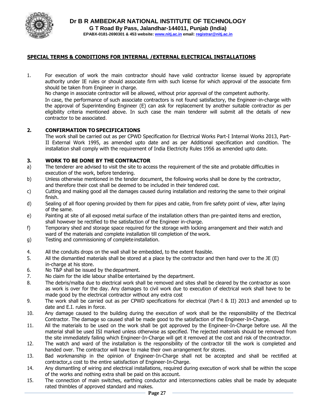

#### **SPECIAL TERMS & CONDITIONS FOR INTERNAL /EXTERNAL ELECTRICAL INSTALLATIONS**

1. For execution of work the main contractor should have valid contractor license issued by appropriate authority under IE rules or should associate firm with such license for which approval of the associate firm should be taken from Engineer in charge.

No change in associate contractor will be allowed, without prior approval of the competent authority.

In case, the performance of such associate contractors is not found satisfactory, the Engineer-in-charge with the approval of Superintending Engineer (E) can ask for replacement by another suitable contractor as per eligibility criteria mentioned above. In such case the main tenderer will submit all the details of new contractor to be associated.

#### **2. CONFIRMATION TO SPECIFICATIONS**

The work shall be carried out as per CPWD Specification for Electrical Works Part-I Internal Works 2013, Part-II External Work 1995, as amended upto date and as per Additional specification and condition. The installation shall comply with the requirement of India Electricity Rules 1956 as amended upto date.

#### **3. WORK TO BE DONE BY THE CONTRACTOR**

- a) The tenderer are advised to visit the site to access the requirement of the site and probable difficulties in execution of the work, before tendering.
- b) Unless otherwise mentioned in the tender document, the following works shall be done by the contractor, and therefore their cost shall be deemed to be included in their tendered cost.
- c) Cutting and making good all the damages caused during installation and restoring the same to their original finish.
- d) Sealing of all floor opening provided by them for pipes and cable, from fire safety point of view, after laying of the same.
- e) Painting at site of all exposed metal surface of the installation others than pre-painted items and erection, shall however be rectified to the satisfaction of the Engineer in-charge.
- f) Temporary shed and storage space required for the storage with locking arrangement and their watch and ward of the materials and complete installation till completion of the work.
- g) Testing and commissioning of complete installation.
- 4. All the conduits drops on the wall shall be embedded, to the extent feasible.
- 5. All the dismantled materials shall be stored at a place by the contractor and then hand over to the JE (E) in-charge at his store.
- 6. No T&P shall be issued by the department.
- 7. No claim for the idle labour shallbe entertained by the department.
- 8. The debris/malba due to electrical work shall be removed and sites shall be cleared by the contractor as soon as work is over for the day. Any damages to civil work due to execution of electrical work shall have to be made good by the electrical contractor without any extra cost
- 9. The work shall be carried out as per CPWD specifications for electrical (Part-I & II) 2013 and amended up to date and E.I. rules in force.
- 10. Any damage caused to the building during the execution of work shall be the responsibility of the Electrical Contractor. The damage so caused shall be made good to the satisfaction of the Engineer-In-Charge.
- 11. All the materials to be used on the work shall be got approved by the Engineer-In-Charge before use. All the material shall be used ISI marked unless otherwise as specified. The rejected materials should be removed from the site immediately failing which Engineer-In-Charge will get it removed at the cost and risk of the contractor.
- 12. The watch and ward of the installation is the responsibility of the contractor till the work is completed and handed over. The contractor will have to make their own arrangement for stores.
- 13. Bad workmanship in the opinion of Engineer-In-Charge shall not be accepted and shall be rectified at contractor<sub>n</sub>s cost to the entire satisfaction of Engineer-In-Charge.
- 14. Any dismantling of wiring and electrical installations, required during execution of work shall be within the scope of the works and nothing extra shall be paid on this account.
- 15. The connection of main switches, earthing conductor and interconnections cables shall be made by adequate rated thimbles of approved standard and makes.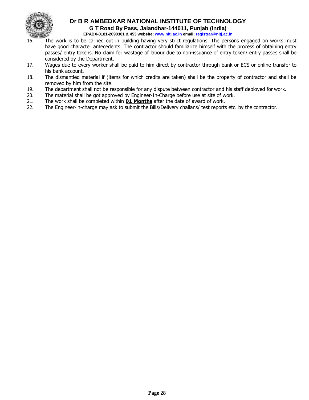

**G T Road By Pass, Jalandhar-144011, Punjab (India)**

**EPABX-0181-2690301 & 453 website: www.nitj.ac.in email: registrar@nitj.ac.in**

- 16. The work is to be carried out in building having very strict regulations. The persons engaged on works must have good character antecedents. The contractor should familiarize himself with the process of obtaining entry passes/ entry tokens. No claim for wastage of labour due to non-issuance of entry token/ entry passes shall be considered by the Department.
- 17. Wages due to every worker shall be paid to him direct by contractor through bank or ECS or online transfer to his bank account.
- 18. The dismantled material if (items for which credits are taken) shall be the property of contractor and shall be removed by him from the site.
- 19. The department shall not be responsible for any dispute between contractor and his staff deployed for work.
- 20. The material shall be got approved by Engineer-In-Charge before use at site of work.
- 21. The work shall be completed within **01 Months** after the date of award of work.
- 22. The Engineer-in-charge may ask to submit the Bills/Delivery challans/ test reports etc. by the contractor.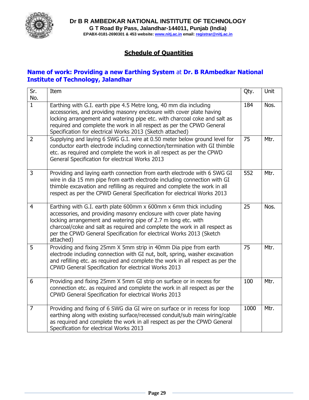

**EPABX-0181-2690301 & 453 website: www.nitj.ac.in email: registrar@nitj.ac.in**

## **Schedule of Quantities**

## **Name of work: Providing a new Earthing System** at **Dr. B RAmbedkar National Institute of Technology, Jalandhar**

| Sr.<br>No.     | Item                                                                                                                                                                                                                                                                                                                                                                           | Qty. | Unit |
|----------------|--------------------------------------------------------------------------------------------------------------------------------------------------------------------------------------------------------------------------------------------------------------------------------------------------------------------------------------------------------------------------------|------|------|
| $\mathbf{1}$   | Earthing with G.I. earth pipe 4.5 Metre long, 40 mm dia including<br>accessories, and providing masonry enclosure with cover plate having<br>locking arrangement and watering pipe etc. with charcoal coke and salt as<br>required and complete the work in all respect as per the CPWD General<br>Specification for electrical Works 2013 (Sketch attached)                   | 184  | Nos. |
| $\overline{2}$ | Supplying and laying 6 SWG G.I. wire at 0.50 meter below ground level for<br>conductor earth electrode including connection/termination with GI thimble<br>etc. as required and complete the work in all respect as per the CPWD<br>General Specification for electrical Works 2013                                                                                            | 75   | Mtr. |
| 3              | Providing and laying earth connection from earth electrode with 6 SWG GI<br>wire in dia 15 mm pipe from earth electrode including connection with GI<br>thimble excavation and refilling as required and complete the work in all<br>respect as per the CPWD General Specification for electrical Works 2013                                                                   | 552  | Mtr. |
| $\overline{4}$ | Earthing with G.I. earth plate 600mm x 600mm x 6mm thick including<br>accessories, and providing masonry enclosure with cover plate having<br>locking arrangement and watering pipe of 2.7 m long etc. with<br>charcoal/coke and salt as required and complete the work in all respect as<br>per the CPWD General Specification for electrical Works 2013 (Sketch<br>attached) | 25   | Nos. |
| 5              | Providing and fixing 25mm X 5mm strip in 40mm Dia pipe from earth<br>electrode including connection with GI nut, bolt, spring, washer excavation<br>and refilling etc. as required and complete the work in all respect as per the<br>CPWD General Specification for electrical Works 2013                                                                                     | 75   | Mtr. |
| 6              | Providing and fixing 25mm X 5mm GI strip on surface or in recess for<br>connection etc. as required and complete the work in all respect as per the<br>CPWD General Specification for electrical Works 2013                                                                                                                                                                    | 100  | Mtr. |
| $\overline{7}$ | Providing and fixing of 6 SWG dia GI wire on surface or in recess for loop<br>earthing along with existing surface/recessed conduit/sub main wiring/cable<br>as required and complete the work in all respect as per the CPWD General<br>Specification for electrical Works 2013                                                                                               | 1000 | Mtr. |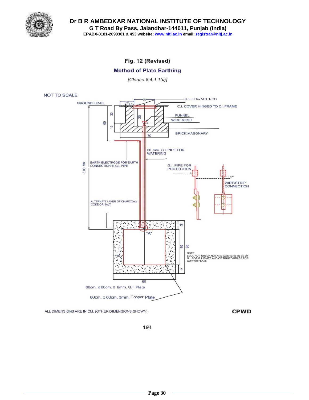

#### Fig. 12 (Revised)

#### **Method of Plate Earthing**

[Clause 8.4.1.1(ii)]



ALL DIMENSIONS ARE IN CM. (OTHER DIMENSIONS SHOWN)

**CPWD** 

194